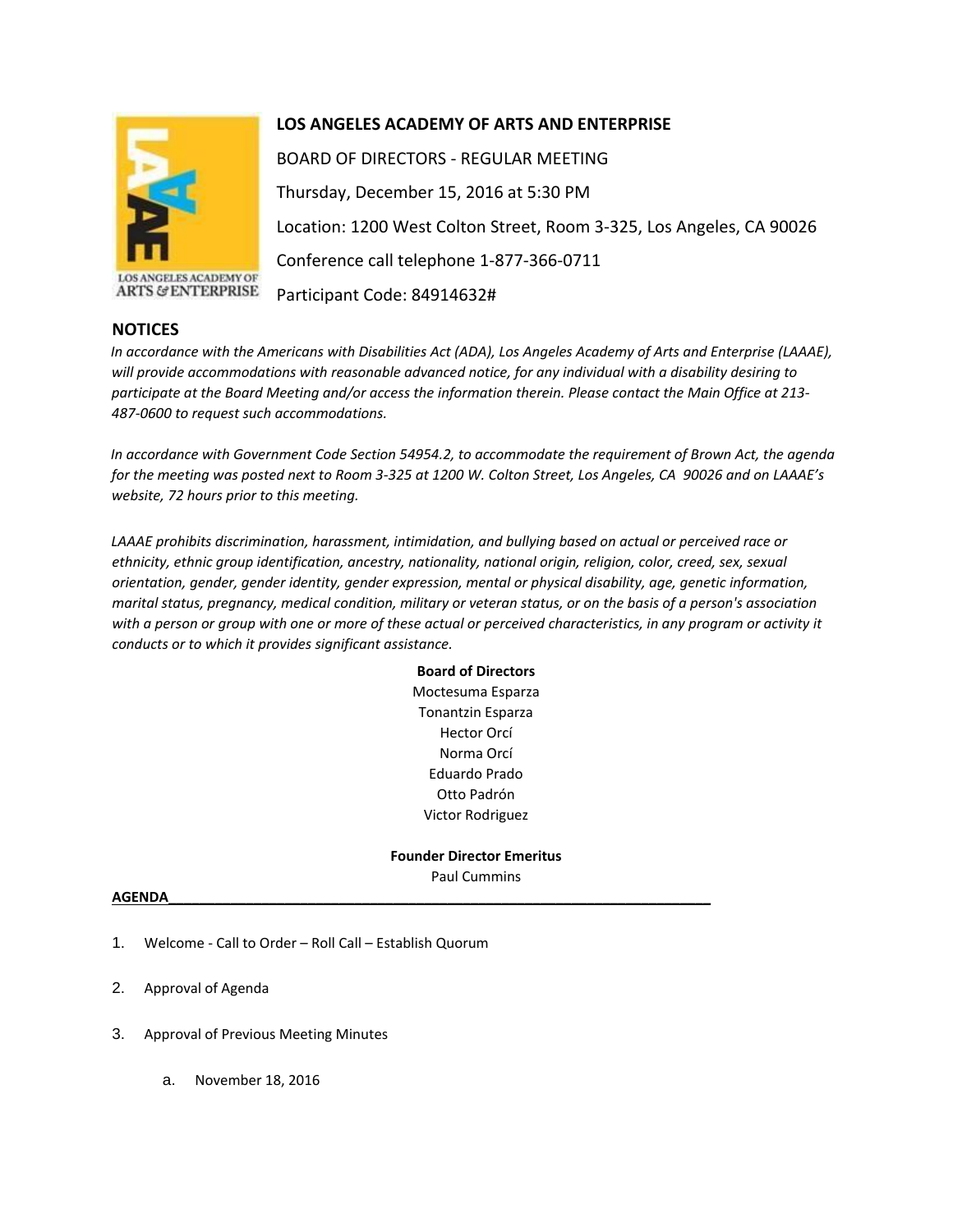

LOS ANGELES ACADEMY OF **ARTS & ENTERPRISE** 

## **NOTICES**

# **LOS ANGELES ACADEMY OF ARTS AND ENTERPRISE**

BOARD OF DIRECTORS - REGULAR MEETING Thursday, December 15, 2016 at 5:30 PM Location: 1200 West Colton Street, Room 3-325, Los Angeles, CA 90026 Conference call telephone 1-877-366-0711 Participant Code: 84914632#

*In accordance with the Americans with Disabilities Act (ADA), Los Angeles Academy of Arts and Enterprise (LAAAE), will provide accommodations with reasonable advanced notice, for any individual with a disability desiring to participate at the Board Meeting and/or access the information therein. Please contact the Main Office at 213- 487-0600 to request such accommodations.* 

*In accordance with Government Code Section 54954.2, to accommodate the requirement of Brown Act, the agenda for the meeting was posted next to Room 3-325 at 1200 W. Colton Street, Los Angeles, CA 90026 and on LAAAE's website, 72 hours prior to this meeting.* 

*LAAAE prohibits discrimination, harassment, intimidation, and bullying based on actual or perceived race or ethnicity, ethnic group identification, ancestry, nationality, national origin, religion, color, creed, sex, sexual orientation, gender, gender identity, gender expression, mental or physical disability, age, genetic information, marital status, pregnancy, medical condition, military or veteran status, or on the basis of a person's association with a person or group with one or more of these actual or perceived characteristics, in any program or activity it conducts or to which it provides significant assistance.* 

> **Board of Directors** Moctesuma Esparza Tonantzin Esparza Hector Orcí Norma Orcí Eduardo Prado Otto Padrón Victor Rodriguez

**Founder Director Emeritus** Paul Cummins

## **AGENDA\_\_\_\_\_\_\_\_\_\_\_\_\_\_\_\_\_\_\_\_\_\_\_\_\_\_\_\_\_\_\_\_\_\_\_\_\_\_\_\_\_\_\_\_\_\_\_\_\_\_\_\_\_\_\_\_\_\_\_\_\_\_\_\_\_\_\_\_\_\_**

- 1. Welcome Call to Order Roll Call Establish Quorum
- 2. Approval of Agenda
- 3. Approval of Previous Meeting Minutes
	- a. November 18, 2016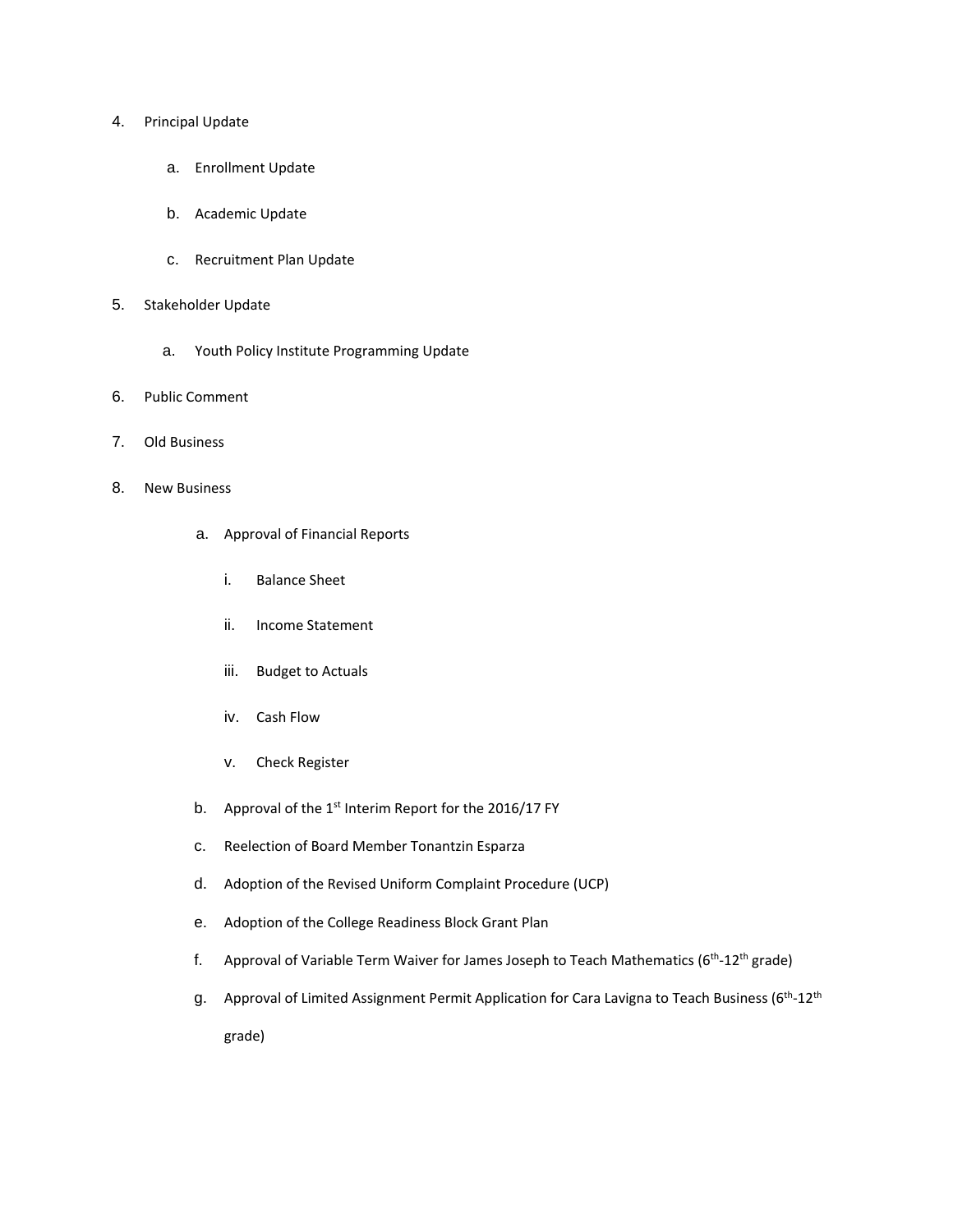#### 4. Principal Update

- a. Enrollment Update
- b. Academic Update
- c. Recruitment Plan Update
- 5. Stakeholder Update
	- a. Youth Policy Institute Programming Update
- 6. Public Comment
- 7. Old Business
- 8. New Business
	- a. Approval of Financial Reports
		- i. Balance Sheet
		- ii. Income Statement
		- iii. Budget to Actuals
		- iv. Cash Flow
		- v. Check Register
	- b. Approval of the  $1<sup>st</sup>$  Interim Report for the 2016/17 FY
	- c. Reelection of Board Member Tonantzin Esparza
	- d. Adoption of the Revised Uniform Complaint Procedure (UCP)
	- e. Adoption of the College Readiness Block Grant Plan
	- f. Approval of Variable Term Waiver for James Joseph to Teach Mathematics (6<sup>th</sup>-12<sup>th</sup> grade)
	- g. Approval of Limited Assignment Permit Application for Cara Lavigna to Teach Business (6<sup>th</sup>-12<sup>th</sup> grade)